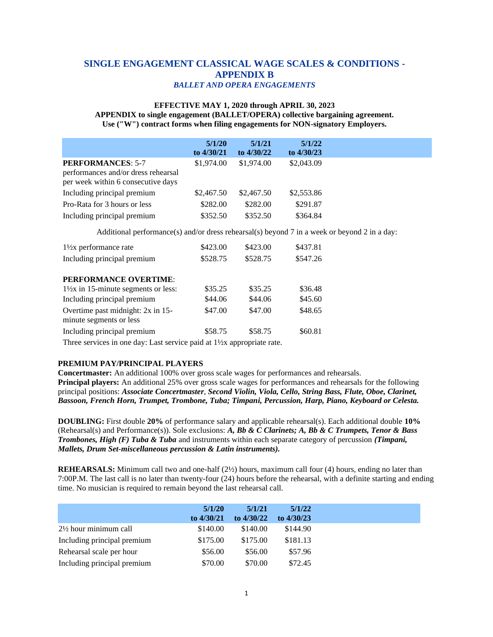# **SINGLE ENGAGEMENT CLASSICAL WAGE SCALES & CONDITIONS - APPENDIX B** *BALLET AND OPERA ENGAGEMENTS*

## **EFFECTIVE MAY 1, 2020 through APRIL 30, 2023 APPENDIX to single engagement (BALLET/OPERA) collective bargaining agreement. Use ("W") contract forms when filing engagements for NON-signatory Employers.**

|                                                                                              | 5/1/20<br>to 4/30/21 | 5/1/21<br>to $4/30/22$ | 5/1/22<br>to 4/30/23 |  |
|----------------------------------------------------------------------------------------------|----------------------|------------------------|----------------------|--|
| <b>PERFORMANCES: 5-7</b>                                                                     | \$1,974.00           | \$1,974.00             | \$2,043.09           |  |
| performances and/or dress rehearsal<br>per week within 6 consecutive days                    |                      |                        |                      |  |
| Including principal premium                                                                  | \$2,467.50           | \$2,467.50             | \$2,553.86           |  |
| Pro-Rata for 3 hours or less                                                                 | \$282.00             | \$282.00               | \$291.87             |  |
| Including principal premium                                                                  | \$352.50             | \$352.50               | \$364.84             |  |
| Additional performance(s) and/or dress rehearsal(s) beyond 7 in a week or beyond 2 in a day: |                      |                        |                      |  |
| $1\frac{1}{2}x$ performance rate                                                             | \$423.00             | \$423.00               | \$437.81             |  |
| Including principal premium                                                                  | \$528.75             | \$528.75               | \$547.26             |  |
| PERFORMANCE OVERTIME:                                                                        |                      |                        |                      |  |
| $1\frac{1}{2}x$ in 15-minute segments or less:                                               | \$35.25              | \$35.25                | \$36.48              |  |
| Including principal premium                                                                  | \$44.06              | \$44.06                | \$45.60              |  |
| Overtime past midnight: 2x in 15-<br>minute segments or less                                 | \$47.00              | \$47.00                | \$48.65              |  |
| Including principal premium                                                                  | \$58.75              | \$58.75                | \$60.81              |  |

Three services in one day: Last service paid at  $1\frac{1}{2}x$  appropriate rate.

## **PREMIUM PAY/PRINCIPAL PLAYERS**

**Concertmaster:** An additional 100% over gross scale wages for performances and rehearsals. **Principal players:** An additional 25% over gross scale wages for performances and rehearsals for the following principal positions: *Associate Concertmaster*, *Second Violin, Viola, Cello, String Bass, Flute, Oboe, Clarinet, Bassoon, French Horn, Trumpet, Trombone, Tuba; Timpani, Percussion, Harp, Piano, Keyboard or Celesta.*

**DOUBLING:** First double **20%** of performance salary and applicable rehearsal(s). Each additional double **10%** (Rehearsal(s) and Performance(s)). Sole exclusions: *A, Bb & C Clarinets; A, Bb & C Trumpets, Tenor & Bass Trombones, High (F) Tuba & Tuba* and instruments within each separate category of percussion *(Timpani, Mallets, Drum Set-miscellaneous percussion & Latin instruments).*

**REHEARSALS:** Minimum call two and one-half (2½) hours, maximum call four (4) hours, ending no later than 7:00P.M. The last call is no later than twenty-four (24) hours before the rehearsal, with a definite starting and ending time. No musician is required to remain beyond the last rehearsal call.

|                                  | 5/1/20<br>to $4/30/21$ | 5/1/21<br>to $4/30/22$ | 5/1/22<br>to $4/30/23$ |
|----------------------------------|------------------------|------------------------|------------------------|
| $2\frac{1}{2}$ hour minimum call | \$140.00               | \$140.00               | \$144.90               |
| Including principal premium      | \$175.00               | \$175.00               | \$181.13               |
| Rehearsal scale per hour         | \$56.00                | \$56.00                | \$57.96                |
| Including principal premium      | \$70.00                | \$70.00                | \$72.45                |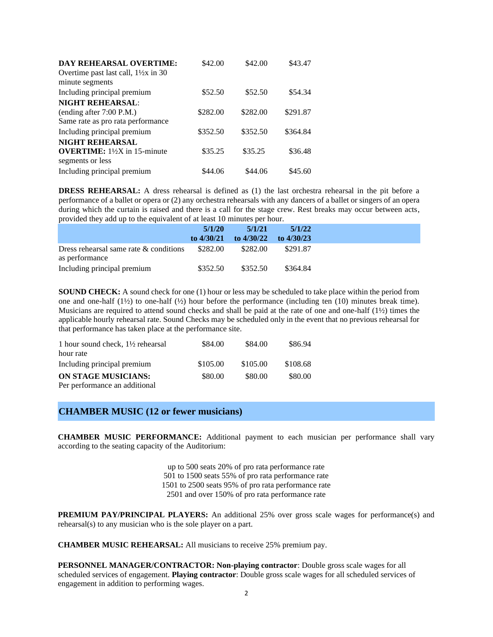| <b>DAY REHEARSAL OVERTIME:</b><br>Overtime past last call, 1½x in 30<br>minute segments | \$42.00  | \$42.00  | \$43.47  |
|-----------------------------------------------------------------------------------------|----------|----------|----------|
| Including principal premium                                                             | \$52.50  | \$52.50  | \$54.34  |
| <b>NIGHT REHEARSAL:</b>                                                                 |          |          |          |
| (ending after $7:00$ P.M.)                                                              | \$282.00 | \$282.00 | \$291.87 |
| Same rate as pro rata performance                                                       |          |          |          |
| Including principal premium                                                             | \$352.50 | \$352.50 | \$364.84 |
| <b>NIGHT REHEARSAL</b>                                                                  |          |          |          |
| <b>OVERTIME:</b> $1\frac{1}{2}X$ in 15-minute                                           | \$35.25  | \$35.25  | \$36.48  |
| segments or less                                                                        |          |          |          |
| Including principal premium                                                             | \$44.06  | \$44.06  | \$45.60  |

**DRESS REHEARSAL:** A dress rehearsal is defined as (1) the last orchestra rehearsal in the pit before a performance of a ballet or opera or (2) any orchestra rehearsals with any dancers of a ballet or singers of an opera during which the curtain is raised and there is a call for the stage crew. Rest breaks may occur between acts, provided they add up to the equivalent of at least 10 minutes per hour.

|                             |  |                                           | 5/1/20<br>to $4/30/21$ | 5/1/21<br>to $4/30/22$ | 5/1/22<br>to $4/30/23$ |
|-----------------------------|--|-------------------------------------------|------------------------|------------------------|------------------------|
| as performance              |  | Dress rehearsal same rate $\&$ conditions | \$282.00               | \$282.00               | \$291.87               |
| Including principal premium |  |                                           | \$352.50               | \$352.50               | \$364.84               |

**SOUND CHECK:** A sound check for one (1) hour or less may be scheduled to take place within the period from one and one-half  $(1/2)$  to one-half  $(1/2)$  hour before the performance (including ten (10) minutes break time). Musicians are required to attend sound checks and shall be paid at the rate of one and one-half  $(1\frac{1}{2})$  times the applicable hourly rehearsal rate. Sound Checks may be scheduled only in the event that no previous rehearsal for that performance has taken place at the performance site.

| 1 hour sound check, $1\frac{1}{2}$ rehearsal | \$84.00  | \$84.00  | \$86.94  |
|----------------------------------------------|----------|----------|----------|
| hour rate                                    |          |          |          |
| Including principal premium                  | \$105.00 | \$105.00 | \$108.68 |
| <b>ON STAGE MUSICIANS:</b>                   | \$80.00  | \$80.00  | \$80.00  |
| Per performance an additional                |          |          |          |

# **CHAMBER MUSIC (12 or fewer musicians)**

**CHAMBER MUSIC PERFORMANCE:** Additional payment to each musician per performance shall vary according to the seating capacity of the Auditorium:

> up to 500 seats 20% of pro rata performance rate 501 to 1500 seats 55% of pro rata performance rate 1501 to 2500 seats 95% of pro rata performance rate 2501 and over 150% of pro rata performance rate

**PREMIUM PAY/PRINCIPAL PLAYERS:** An additional 25% over gross scale wages for performance(s) and rehearsal(s) to any musician who is the sole player on a part.

**CHAMBER MUSIC REHEARSAL:** All musicians to receive 25% premium pay.

**PERSONNEL MANAGER/CONTRACTOR: Non-playing contractor**: Double gross scale wages for all scheduled services of engagement. **Playing contractor**: Double gross scale wages for all scheduled services of engagement in addition to performing wages.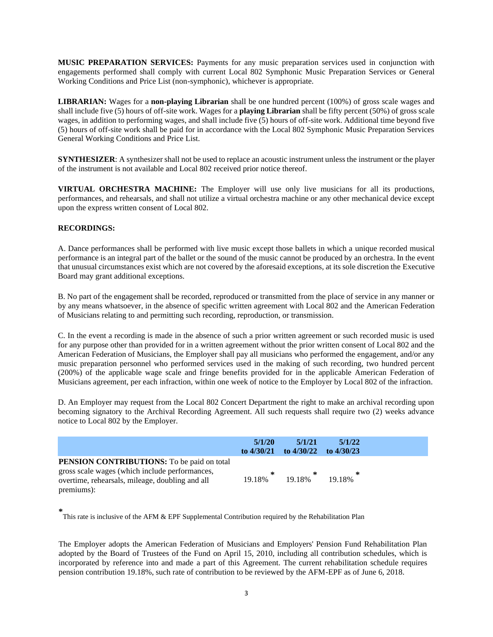**MUSIC PREPARATION SERVICES:** Payments for any music preparation services used in conjunction with engagements performed shall comply with current Local 802 Symphonic Music Preparation Services or General Working Conditions and Price List (non-symphonic), whichever is appropriate.

**LIBRARIAN:** Wages for a **non-playing Librarian** shall be one hundred percent (100%) of gross scale wages and shall include five (5) hours of off-site work. Wages for a **playing Librarian** shall be fifty percent (50%) of gross scale wages, in addition to performing wages, and shall include five (5) hours of off-site work. Additional time beyond five (5) hours of off-site work shall be paid for in accordance with the Local 802 Symphonic Music Preparation Services General Working Conditions and Price List.

**SYNTHESIZER**: A synthesizer shall not be used to replace an acoustic instrument unless the instrument or the player of the instrument is not available and Local 802 received prior notice thereof.

**VIRTUAL ORCHESTRA MACHINE:** The Employer will use only live musicians for all its productions, performances, and rehearsals, and shall not utilize a virtual orchestra machine or any other mechanical device except upon the express written consent of Local 802.

## **RECORDINGS:**

A. Dance performances shall be performed with live music except those ballets in which a unique recorded musical performance is an integral part of the ballet or the sound of the music cannot be produced by an orchestra. In the event that unusual circumstances exist which are not covered by the aforesaid exceptions, at its sole discretion the Executive Board may grant additional exceptions.

B. No part of the engagement shall be recorded, reproduced or transmitted from the place of service in any manner or by any means whatsoever, in the absence of specific written agreement with Local 802 and the American Federation of Musicians relating to and permitting such recording, reproduction, or transmission.

C. In the event a recording is made in the absence of such a prior written agreement or such recorded music is used for any purpose other than provided for in a written agreement without the prior written consent of Local 802 and the American Federation of Musicians, the Employer shall pay all musicians who performed the engagement, and/or any music preparation personnel who performed services used in the making of such recording, two hundred percent (200%) of the applicable wage scale and fringe benefits provided for in the applicable American Federation of Musicians agreement, per each infraction, within one week of notice to the Employer by Local 802 of the infraction.

D. An Employer may request from the Local 802 Concert Department the right to make an archival recording upon becoming signatory to the Archival Recording Agreement. All such requests shall require two (2) weeks advance notice to Local 802 by the Employer.

|                                                                                                                                                                      | 5/1/20<br>to $4/30/21$ | 5/1/21<br>to $4/30/22$ to $4/30/23$ | 5/1/22 |
|----------------------------------------------------------------------------------------------------------------------------------------------------------------------|------------------------|-------------------------------------|--------|
| <b>PENSION CONTRIBUTIONS:</b> To be paid on total<br>gross scale wages (which include performances,<br>overtime, rehearsals, mileage, doubling and all<br>premiums): | 19.18%                 | 19.18%                              | 19.18% |

**\*** This rate is inclusive of the AFM & EPF Supplemental Contribution required by the Rehabilitation Plan

The Employer adopts the American Federation of Musicians and Employers' Pension Fund Rehabilitation Plan adopted by the Board of Trustees of the Fund on April 15, 2010, including all contribution schedules, which is incorporated by reference into and made a part of this Agreement. The current rehabilitation schedule requires pension contribution 19.18%, such rate of contribution to be reviewed by the AFM-EPF as of June 6, 2018.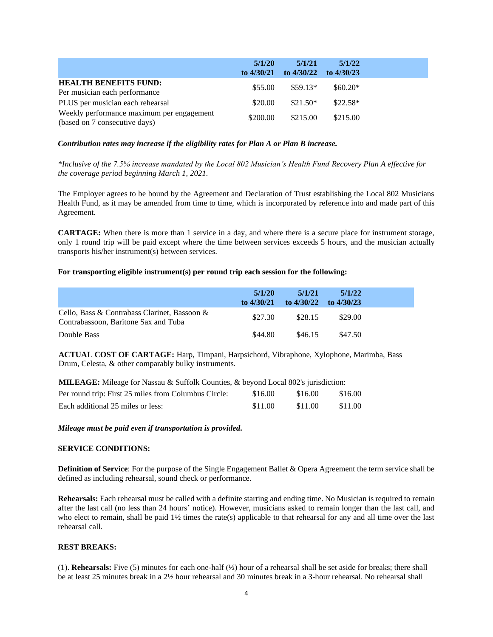|                                                                            | 5/1/20<br>to $4/30/21$ | 5/1/21<br>to $4/30/22$ to $4/30/23$ | 5/1/22    |
|----------------------------------------------------------------------------|------------------------|-------------------------------------|-----------|
| <b>HEALTH BENEFITS FUND:</b><br>Per musician each performance              | \$55.00                | $$59.13*$                           | $$60.20*$ |
| PLUS per musician each rehearsal                                           | \$20.00                | $$21.50*$                           | $$22.58*$ |
| Weekly performance maximum per engagement<br>(based on 7 consecutive days) | \$200.00               | \$215.00                            | \$215.00  |

#### *Contribution rates may increase if the eligibility rates for Plan A or Plan B increase.*

*\*Inclusive of the 7.5% increase mandated by the Local 802 Musician's Health Fund Recovery Plan A effective for the coverage period beginning March 1, 2021.*

The Employer agrees to be bound by the Agreement and Declaration of Trust establishing the Local 802 Musicians Health Fund, as it may be amended from time to time, which is incorporated by reference into and made part of this Agreement.

**CARTAGE:** When there is more than 1 service in a day, and where there is a secure place for instrument storage, only 1 round trip will be paid except where the time between services exceeds 5 hours, and the musician actually transports his/her instrument(s) between services.

#### **For transporting eligible instrument(s) per round trip each session for the following:**

|                                                                                      | 5/1/20<br>to $4/30/21$ | 5/1/21<br>to $4/30/22$ to $4/30/23$ | 5/1/22  |
|--------------------------------------------------------------------------------------|------------------------|-------------------------------------|---------|
| Cello, Bass & Contrabass Clarinet, Bassoon &<br>Contrabassoon, Baritone Sax and Tuba | \$27.30                | \$28.15                             | \$29.00 |
| Double Bass                                                                          | \$44.80                | \$46.15                             | \$47.50 |

**ACTUAL COST OF CARTAGE:** Harp, Timpani, Harpsichord, Vibraphone, Xylophone, Marimba, Bass Drum, Celesta, & other comparably bulky instruments.

| <b>MILEAGE:</b> Mileage for Nassau & Suffolk Counties, & beyond Local 802's jurisdiction: |       |       |     |
|-------------------------------------------------------------------------------------------|-------|-------|-----|
| $D_{\alpha\mu}$ nound the Eight $25$ miles from Columbus Cinelat                          | 01600 | 01600 | 01C |

| Per round trip: First 25 miles from Columbus Circle: | \$16.00 | \$16.00 | \$16.00 |
|------------------------------------------------------|---------|---------|---------|
| Each additional 25 miles or less:                    | \$11.00 | \$11.00 | \$11.00 |

*Mileage must be paid even if transportation is provided.*

#### **SERVICE CONDITIONS:**

**Definition of Service**: For the purpose of the Single Engagement Ballet & Opera Agreement the term service shall be defined as including rehearsal, sound check or performance.

**Rehearsals:** Each rehearsal must be called with a definite starting and ending time. No Musician is required to remain after the last call (no less than 24 hours' notice). However, musicians asked to remain longer than the last call, and who elect to remain, shall be paid  $1\frac{1}{2}$  times the rate(s) applicable to that rehearsal for any and all time over the last rehearsal call.

## **REST BREAKS:**

(1). **Rehearsals:** Five (5) minutes for each one-half (½) hour of a rehearsal shall be set aside for breaks; there shall be at least 25 minutes break in a 2½ hour rehearsal and 30 minutes break in a 3-hour rehearsal. No rehearsal shall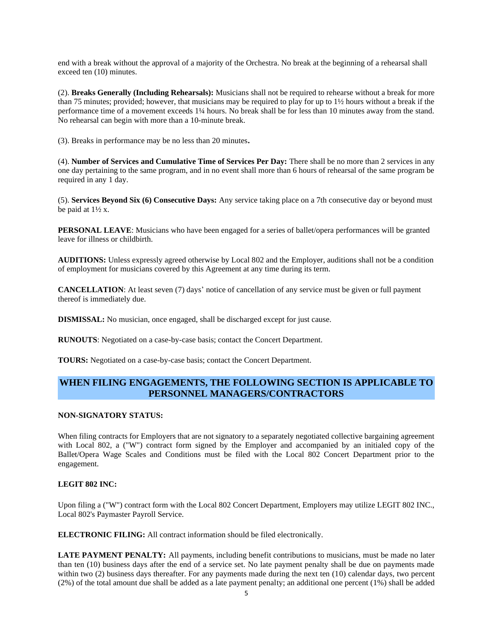end with a break without the approval of a majority of the Orchestra. No break at the beginning of a rehearsal shall exceed ten (10) minutes.

(2). **Breaks Generally (Including Rehearsals):** Musicians shall not be required to rehearse without a break for more than 75 minutes; provided; however, that musicians may be required to play for up to 1½ hours without a break if the performance time of a movement exceeds 1¼ hours. No break shall be for less than 10 minutes away from the stand. No rehearsal can begin with more than a 10-minute break.

(3). Breaks in performance may be no less than 20 minutes**.**

(4). **Number of Services and Cumulative Time of Services Per Day:** There shall be no more than 2 services in any one day pertaining to the same program, and in no event shall more than 6 hours of rehearsal of the same program be required in any 1 day.

(5). **Services Beyond Six (6) Consecutive Days:** Any service taking place on a 7th consecutive day or beyond must be paid at  $1\frac{1}{2}x$ .

**PERSONAL LEAVE**: Musicians who have been engaged for a series of ballet/opera performances will be granted leave for illness or childbirth.

**AUDITIONS:** Unless expressly agreed otherwise by Local 802 and the Employer, auditions shall not be a condition of employment for musicians covered by this Agreement at any time during its term.

**CANCELLATION**: At least seven (7) days' notice of cancellation of any service must be given or full payment thereof is immediately due.

**DISMISSAL:** No musician, once engaged, shall be discharged except for just cause.

**RUNOUTS**: Negotiated on a case-by-case basis; contact the Concert Department.

**TOURS:** Negotiated on a case-by-case basis; contact the Concert Department.

# **WHEN FILING ENGAGEMENTS, THE FOLLOWING SECTION IS APPLICABLE TO PERSONNEL MANAGERS/CONTRACTORS**

## **NON-SIGNATORY STATUS:**

When filing contracts for Employers that are not signatory to a separately negotiated collective bargaining agreement with Local 802, a ("W") contract form signed by the Employer and accompanied by an initialed copy of the Ballet/Opera Wage Scales and Conditions must be filed with the Local 802 Concert Department prior to the engagement.

## **LEGIT 802 INC:**

Upon filing a ("W") contract form with the Local 802 Concert Department, Employers may utilize LEGIT 802 INC., Local 802's Paymaster Payroll Service.

**ELECTRONIC FILING:** All contract information should be filed electronically.

LATE PAYMENT PENALTY: All payments, including benefit contributions to musicians, must be made no later than ten (10) business days after the end of a service set. No late payment penalty shall be due on payments made within two (2) business days thereafter. For any payments made during the next ten (10) calendar days, two percent (2%) of the total amount due shall be added as a late payment penalty; an additional one percent (1%) shall be added